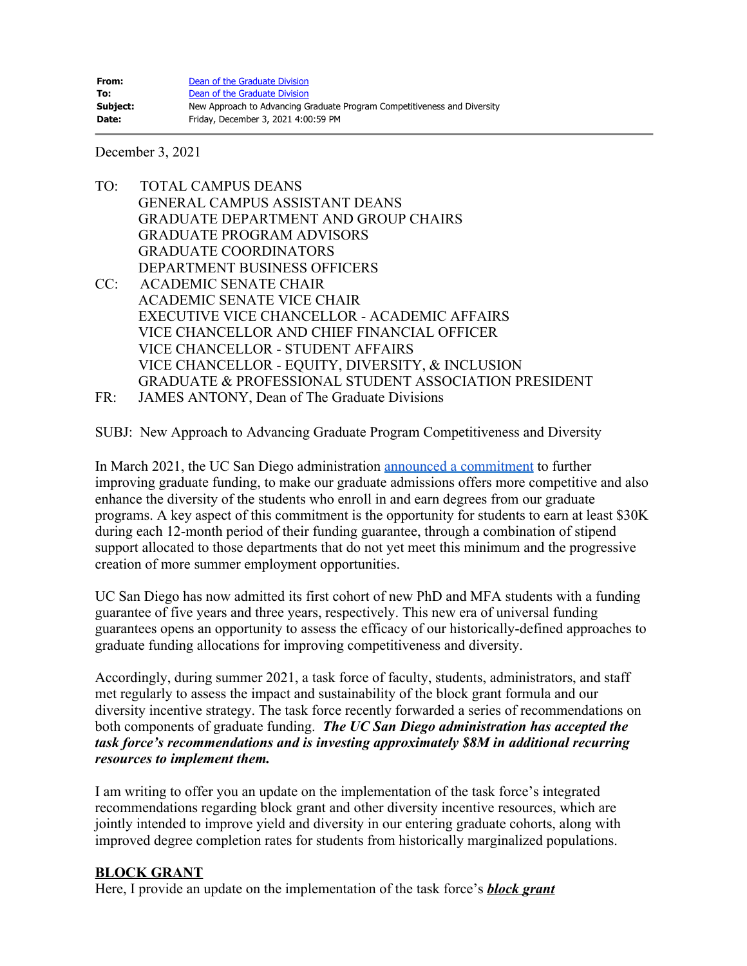December 3, 2021

- TO: TOTAL CAMPUS DEANS GENERAL CAMPUS ASSISTANT DEANS GRADUATE DEPARTMENT AND GROUP CHAIRS GRADUATE PROGRAM ADVISORS GRADUATE COORDINATORS DEPARTMENT BUSINESS OFFICERS CC: ACADEMIC SENATE CHAIR ACADEMIC SENATE VICE CHAIR EXECUTIVE VICE CHANCELLOR - ACADEMIC AFFAIRS VICE CHANCELLOR AND CHIEF FINANCIAL OFFICER VICE CHANCELLOR - STUDENT AFFAIRS VICE CHANCELLOR - EQUITY, DIVERSITY, & INCLUSION GRADUATE & PROFESSIONAL STUDENT ASSOCIATION PRESIDENT FR: JAMES ANTONY, Dean of The Graduate Divisions
- 

SUBJ: New Approach to Advancing Graduate Program Competitiveness and Diversity

In March 2021, the UC San Diego administration [announced a commitment](https://adminrecords.ucsd.edu/Notices/2021/2021-3-16-4.html) to further improving graduate funding, to make our graduate admissions offers more competitive and also enhance the diversity of the students who enroll in and earn degrees from our graduate programs. A key aspect of this commitment is the opportunity for students to earn at least \$30K during each 12-month period of their funding guarantee, through a combination of stipend support allocated to those departments that do not yet meet this minimum and the progressive creation of more summer employment opportunities.

UC San Diego has now admitted its first cohort of new PhD and MFA students with a funding guarantee of five years and three years, respectively. This new era of universal funding guarantees opens an opportunity to assess the efficacy of our historically-defined approaches to graduate funding allocations for improving competitiveness and diversity.

Accordingly, during summer 2021, a task force of faculty, students, administrators, and staff met regularly to assess the impact and sustainability of the block grant formula and our diversity incentive strategy. The task force recently forwarded a series of recommendations on both components of graduate funding. *The UC San Diego administration has accepted the task force's recommendations and is investing approximately \$8M in additional recurring resources to implement them.*

I am writing to offer you an update on the implementation of the task force's integrated recommendations regarding block grant and other diversity incentive resources, which are jointly intended to improve yield and diversity in our entering graduate cohorts, along with improved degree completion rates for students from historically marginalized populations.

### **BLOCK GRANT**

Here, I provide an update on the implementation of the task force's *block grant*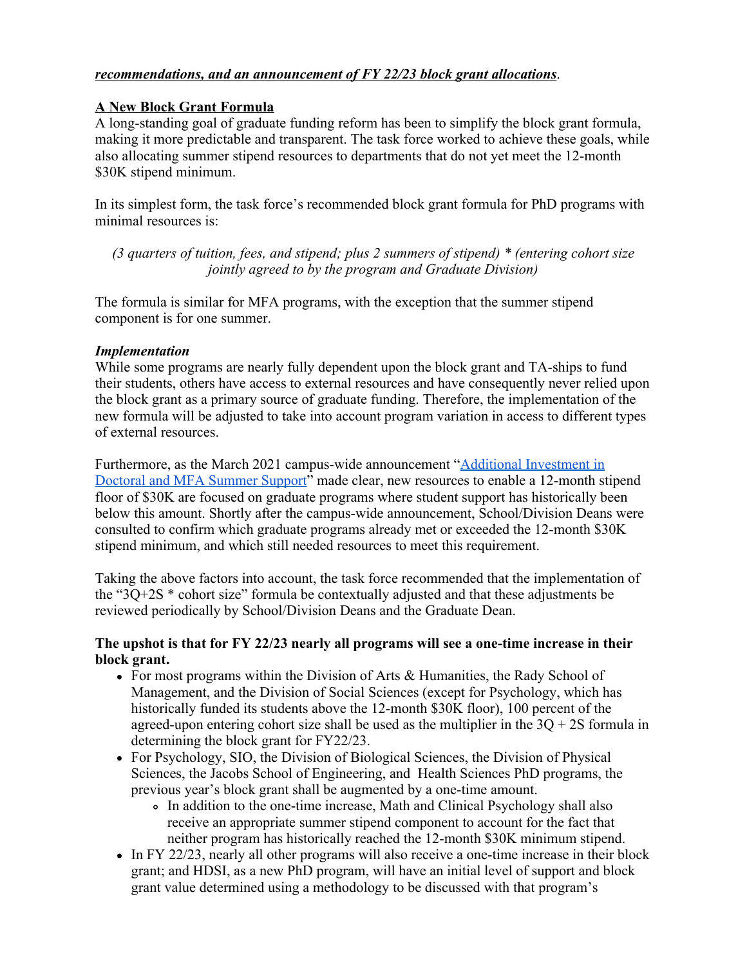### *recommendations, and an announcement of FY 22/23 block grant allocations*.

### **A New Block Grant Formula**

A long-standing goal of graduate funding reform has been to simplify the block grant formula, making it more predictable and transparent. The task force worked to achieve these goals, while also allocating summer stipend resources to departments that do not yet meet the 12-month \$30K stipend minimum.

In its simplest form, the task force's recommended block grant formula for PhD programs with minimal resources is:

*(3 quarters of tuition, fees, and stipend; plus 2 summers of stipend) \* (entering cohort size jointly agreed to by the program and Graduate Division)*

The formula is similar for MFA programs, with the exception that the summer stipend component is for one summer.

#### *Implementation*

While some programs are nearly fully dependent upon the block grant and TA-ships to fund their students, others have access to external resources and have consequently never relied upon the block grant as a primary source of graduate funding. Therefore, the implementation of the new formula will be adjusted to take into account program variation in access to different types of external resources.

Furthermore, as the March 2021 campus-wide announcement ["Additional Investment in](https://adminrecords.ucsd.edu/Notices/2021/2021-3-16-4.html) [Doctoral and MFA Summer Support](https://adminrecords.ucsd.edu/Notices/2021/2021-3-16-4.html)" made clear, new resources to enable a 12-month stipend floor of \$30K are focused on graduate programs where student support has historically been below this amount. Shortly after the campus-wide announcement, School/Division Deans were consulted to confirm which graduate programs already met or exceeded the 12-month \$30K stipend minimum, and which still needed resources to meet this requirement.

Taking the above factors into account, the task force recommended that the implementation of the "3Q+2S \* cohort size" formula be contextually adjusted and that these adjustments be reviewed periodically by School/Division Deans and the Graduate Dean.

### **The upshot is that for FY 22/23 nearly all programs will see a one-time increase in their block grant.**

- For most programs within the Division of Arts & Humanities, the Rady School of Management, and the Division of Social Sciences (except for Psychology, which has historically funded its students above the 12-month \$30K floor), 100 percent of the agreed-upon entering cohort size shall be used as the multiplier in the  $3Q + 2S$  formula in determining the block grant for FY22/23.
- For Psychology, SIO, the Division of Biological Sciences, the Division of Physical Sciences, the Jacobs School of Engineering, and Health Sciences PhD programs, the previous year's block grant shall be augmented by a one-time amount.
	- In addition to the one-time increase, Math and Clinical Psychology shall also receive an appropriate summer stipend component to account for the fact that neither program has historically reached the 12-month \$30K minimum stipend.
- In FY 22/23, nearly all other programs will also receive a one-time increase in their block grant; and HDSI, as a new PhD program, will have an initial level of support and block grant value determined using a methodology to be discussed with that program's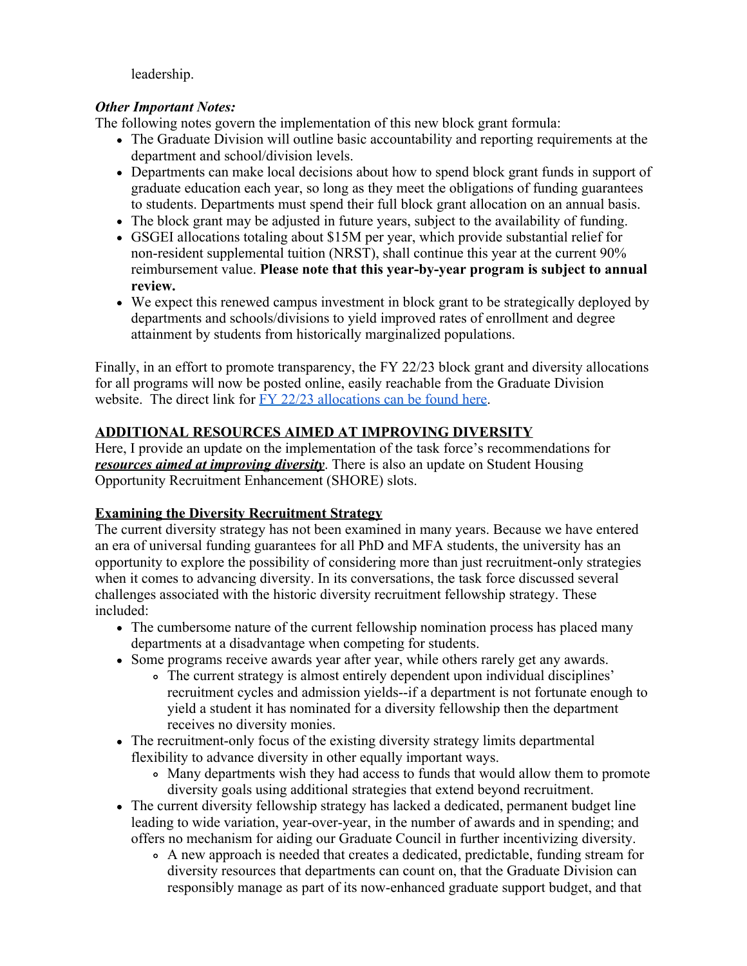leadership.

# *Other Important Notes:*

The following notes govern the implementation of this new block grant formula:

- The Graduate Division will outline basic accountability and reporting requirements at the department and school/division levels.
- Departments can make local decisions about how to spend block grant funds in support of graduate education each year, so long as they meet the obligations of funding guarantees to students. Departments must spend their full block grant allocation on an annual basis.
- The block grant may be adjusted in future years, subject to the availability of funding.
- GSGEI allocations totaling about \$15M per year, which provide substantial relief for non-resident supplemental tuition (NRST), shall continue this year at the current 90% reimbursement value. **Please note that this year-by-year program is subject to annual review.**
- We expect this renewed campus investment in block grant to be strategically deployed by departments and schools/divisions to yield improved rates of enrollment and degree attainment by students from historically marginalized populations.

Finally, in an effort to promote transparency, the FY 22/23 block grant and diversity allocations for all programs will now be posted online, easily reachable from the Graduate Division website. The direct link for [FY 22/23 allocations can be found here](https://docs.google.com/spreadsheets/d/1IQSLyM_4d2YwSedfR8APMxPspG_Cb_gi/edit#gid=472604703).

# **ADDITIONAL RESOURCES AIMED AT IMPROVING DIVERSITY**

Here, I provide an update on the implementation of the task force's recommendations for *resources aimed at improving diversity*. There is also an update on Student Housing Opportunity Recruitment Enhancement (SHORE) slots.

# **Examining the Diversity Recruitment Strategy**

The current diversity strategy has not been examined in many years. Because we have entered an era of universal funding guarantees for all PhD and MFA students, the university has an opportunity to explore the possibility of considering more than just recruitment-only strategies when it comes to advancing diversity. In its conversations, the task force discussed several challenges associated with the historic diversity recruitment fellowship strategy. These included:

- The cumbersome nature of the current fellowship nomination process has placed many departments at a disadvantage when competing for students.
- Some programs receive awards year after year, while others rarely get any awards.
	- The current strategy is almost entirely dependent upon individual disciplines' recruitment cycles and admission yields--if a department is not fortunate enough to yield a student it has nominated for a diversity fellowship then the department receives no diversity monies.
- The recruitment-only focus of the existing diversity strategy limits departmental flexibility to advance diversity in other equally important ways.
	- Many departments wish they had access to funds that would allow them to promote diversity goals using additional strategies that extend beyond recruitment.
- The current diversity fellowship strategy has lacked a dedicated, permanent budget line leading to wide variation, year-over-year, in the number of awards and in spending; and offers no mechanism for aiding our Graduate Council in further incentivizing diversity.
	- A new approach is needed that creates a dedicated, predictable, funding stream for diversity resources that departments can count on, that the Graduate Division can responsibly manage as part of its now-enhanced graduate support budget, and that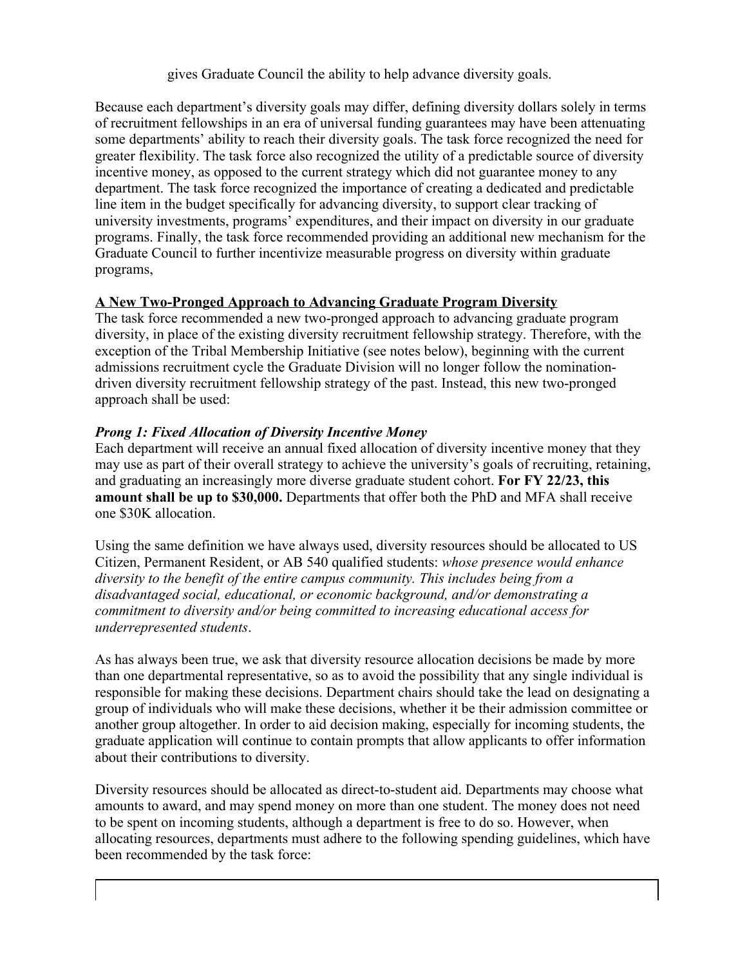gives Graduate Council the ability to help advance diversity goals.

Because each department's diversity goals may differ, defining diversity dollars solely in terms of recruitment fellowships in an era of universal funding guarantees may have been attenuating some departments' ability to reach their diversity goals. The task force recognized the need for greater flexibility. The task force also recognized the utility of a predictable source of diversity incentive money, as opposed to the current strategy which did not guarantee money to any department. The task force recognized the importance of creating a dedicated and predictable line item in the budget specifically for advancing diversity, to support clear tracking of university investments, programs' expenditures, and their impact on diversity in our graduate programs. Finally, the task force recommended providing an additional new mechanism for the Graduate Council to further incentivize measurable progress on diversity within graduate programs,

## **A New Two-Pronged Approach to Advancing Graduate Program Diversity**

The task force recommended a new two-pronged approach to advancing graduate program diversity, in place of the existing diversity recruitment fellowship strategy. Therefore, with the exception of the Tribal Membership Initiative (see notes below), beginning with the current admissions recruitment cycle the Graduate Division will no longer follow the nominationdriven diversity recruitment fellowship strategy of the past. Instead, this new two-pronged approach shall be used:

## *Prong 1: Fixed Allocation of Diversity Incentive Money*

Each department will receive an annual fixed allocation of diversity incentive money that they may use as part of their overall strategy to achieve the university's goals of recruiting, retaining, and graduating an increasingly more diverse graduate student cohort. **For FY 22/23, this amount shall be up to \$30,000.** Departments that offer both the PhD and MFA shall receive one \$30K allocation.

Using the same definition we have always used, diversity resources should be allocated to US Citizen, Permanent Resident, or AB 540 qualified students: *whose presence would enhance diversity to the benefit of the entire campus community. This includes being from a disadvantaged social, educational, or economic background, and/or demonstrating a commitment to diversity and/or being committed to increasing educational access for underrepresented students*.

As has always been true, we ask that diversity resource allocation decisions be made by more than one departmental representative, so as to avoid the possibility that any single individual is responsible for making these decisions. Department chairs should take the lead on designating a group of individuals who will make these decisions, whether it be their admission committee or another group altogether. In order to aid decision making, especially for incoming students, the graduate application will continue to contain prompts that allow applicants to offer information about their contributions to diversity.

Diversity resources should be allocated as direct-to-student aid. Departments may choose what amounts to award, and may spend money on more than one student. The money does not need to be spent on incoming students, although a department is free to do so. However, when allocating resources, departments must adhere to the following spending guidelines, which have been recommended by the task force: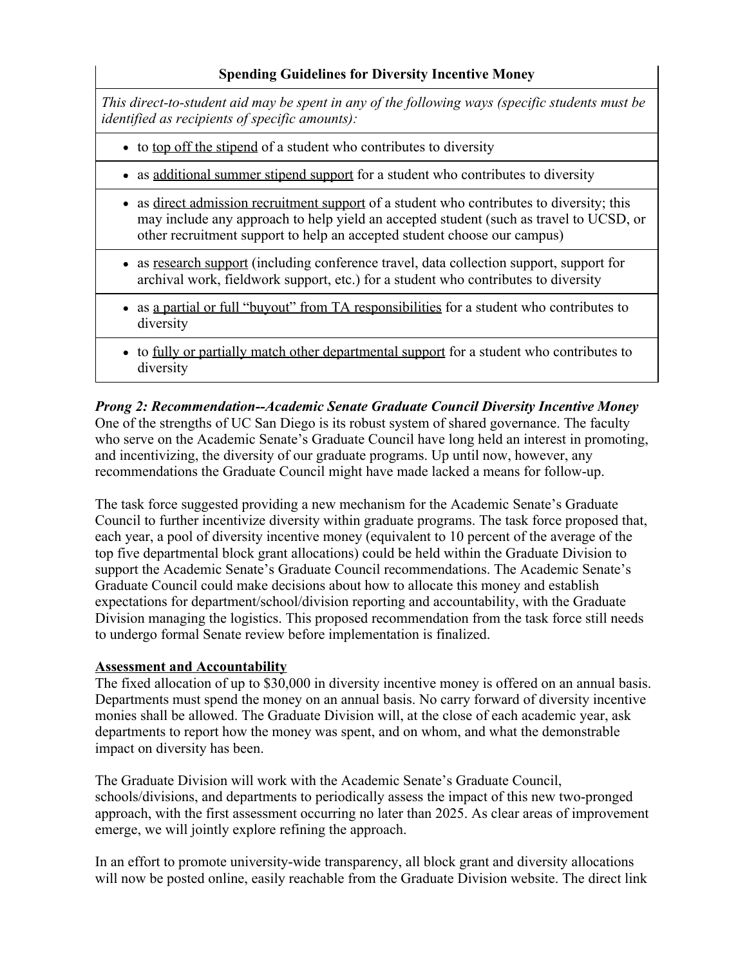# **Spending Guidelines for Diversity Incentive Money**

*This direct-to-student aid may be spent in any of the following ways (specific students must be identified as recipients of specific amounts):*

- to top off the stipend of a student who contributes to diversity
- as additional summer stipend support for a student who contributes to diversity
- as direct admission recruitment support of a student who contributes to diversity; this may include any approach to help yield an accepted student (such as travel to UCSD, or other recruitment support to help an accepted student choose our campus)
- as research support (including conference travel, data collection support, support for archival work, fieldwork support, etc.) for a student who contributes to diversity
- as a partial or full "buyout" from TA responsibilities for a student who contributes to diversity
- to fully or partially match other departmental support for a student who contributes to diversity

*Prong 2: Recommendation--Academic Senate Graduate Council Diversity Incentive Money* One of the strengths of UC San Diego is its robust system of shared governance. The faculty who serve on the Academic Senate's Graduate Council have long held an interest in promoting, and incentivizing, the diversity of our graduate programs. Up until now, however, any recommendations the Graduate Council might have made lacked a means for follow-up.

The task force suggested providing a new mechanism for the Academic Senate's Graduate Council to further incentivize diversity within graduate programs. The task force proposed that, each year, a pool of diversity incentive money (equivalent to 10 percent of the average of the top five departmental block grant allocations) could be held within the Graduate Division to support the Academic Senate's Graduate Council recommendations. The Academic Senate's Graduate Council could make decisions about how to allocate this money and establish expectations for department/school/division reporting and accountability, with the Graduate Division managing the logistics. This proposed recommendation from the task force still needs to undergo formal Senate review before implementation is finalized.

### **Assessment and Accountability**

The fixed allocation of up to \$30,000 in diversity incentive money is offered on an annual basis. Departments must spend the money on an annual basis. No carry forward of diversity incentive monies shall be allowed. The Graduate Division will, at the close of each academic year, ask departments to report how the money was spent, and on whom, and what the demonstrable impact on diversity has been.

The Graduate Division will work with the Academic Senate's Graduate Council, schools/divisions, and departments to periodically assess the impact of this new two-pronged approach, with the first assessment occurring no later than 2025. As clear areas of improvement emerge, we will jointly explore refining the approach.

In an effort to promote university-wide transparency, all block grant and diversity allocations will now be posted online, easily reachable from the Graduate Division website. The direct link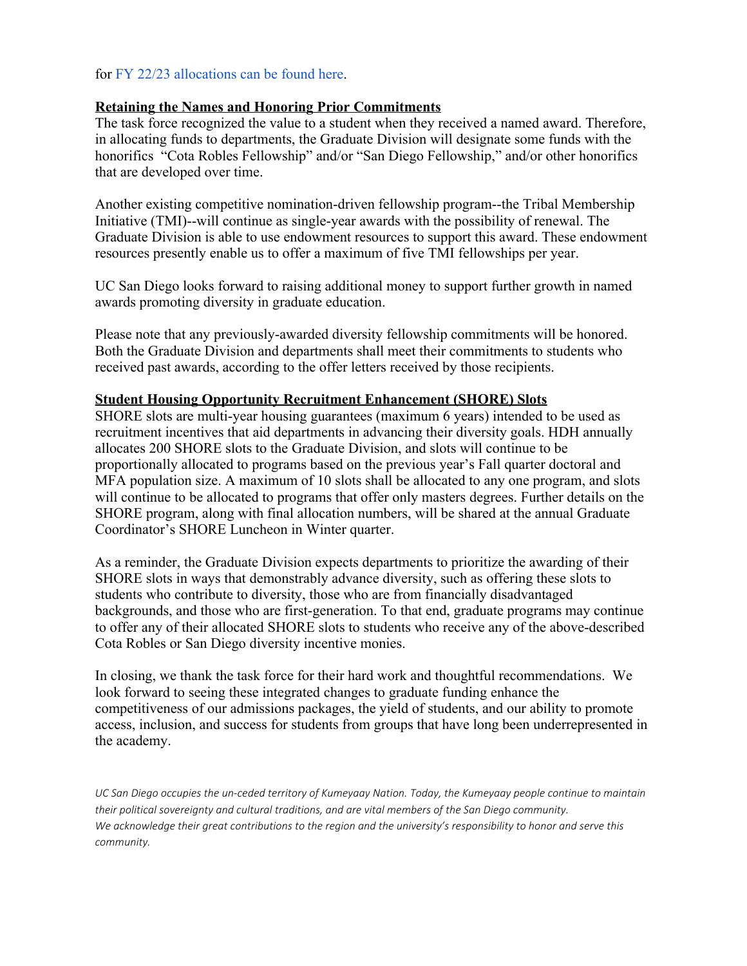### for [FY 22/23 allocations can be found here](https://docs.google.com/spreadsheets/d/1IQSLyM_4d2YwSedfR8APMxPspG_Cb_gi/edit#gid=472604703).

#### **Retaining the Names and Honoring Prior Commitments**

The task force recognized the value to a student when they received a named award. Therefore, in allocating funds to departments, the Graduate Division will designate some funds with the honorifics "Cota Robles Fellowship" and/or "San Diego Fellowship," and/or other honorifics that are developed over time.

Another existing competitive nomination-driven fellowship program--the Tribal Membership Initiative (TMI)--will continue as single-year awards with the possibility of renewal. The Graduate Division is able to use endowment resources to support this award. These endowment resources presently enable us to offer a maximum of five TMI fellowships per year.

UC San Diego looks forward to raising additional money to support further growth in named awards promoting diversity in graduate education.

Please note that any previously-awarded diversity fellowship commitments will be honored. Both the Graduate Division and departments shall meet their commitments to students who received past awards, according to the offer letters received by those recipients.

#### **Student Housing Opportunity Recruitment Enhancement (SHORE) Slots**

SHORE slots are multi-year housing guarantees (maximum 6 years) intended to be used as recruitment incentives that aid departments in advancing their diversity goals. HDH annually allocates 200 SHORE slots to the Graduate Division, and slots will continue to be proportionally allocated to programs based on the previous year's Fall quarter doctoral and MFA population size. A maximum of 10 slots shall be allocated to any one program, and slots will continue to be allocated to programs that offer only masters degrees. Further details on the SHORE program, along with final allocation numbers, will be shared at the annual Graduate Coordinator's SHORE Luncheon in Winter quarter.

As a reminder, the Graduate Division expects departments to prioritize the awarding of their SHORE slots in ways that demonstrably advance diversity, such as offering these slots to students who contribute to diversity, those who are from financially disadvantaged backgrounds, and those who are first-generation. To that end, graduate programs may continue to offer any of their allocated SHORE slots to students who receive any of the above-described Cota Robles or San Diego diversity incentive monies.

In closing, we thank the task force for their hard work and thoughtful recommendations. We look forward to seeing these integrated changes to graduate funding enhance the competitiveness of our admissions packages, the yield of students, and our ability to promote access, inclusion, and success for students from groups that have long been underrepresented in the academy.

*UC San Diego occupies the un-ceded territory of Kumeyaay Nation. Today, the Kumeyaay people continue to maintain their political sovereignty and cultural traditions, and are vital members of the San Diego community. We acknowledge their great contributions to the region and the university's responsibility to honor and serve this community.*